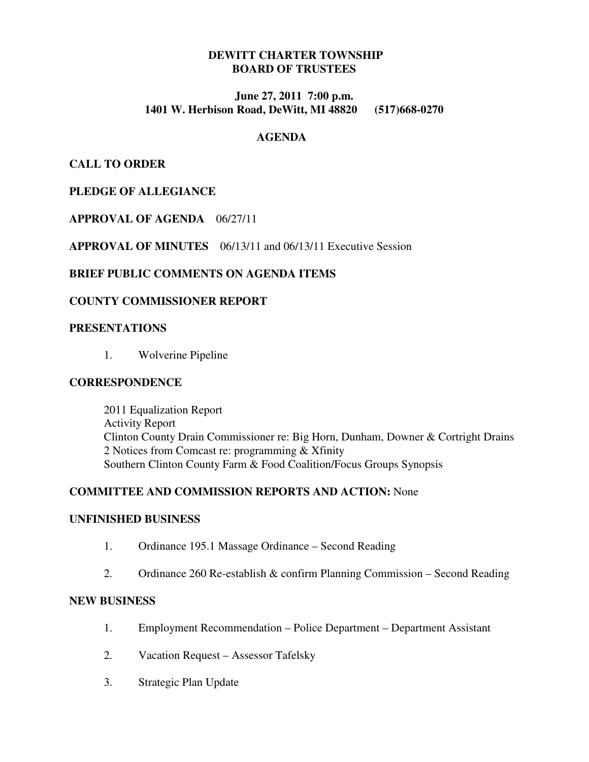## **DEWITT CHARTER TOWNSHIP BOARD OF TRUSTEES**

### **June 27, 2011 7:00 p.m. 1401 W. Herbison Road, DeWitt, MI 48820 (517)668-0270**

#### **AGENDA**

## **CALL TO ORDER**

## **PLEDGE OF ALLEGIANCE**

## **APPROVAL OF AGENDA** 06/27/11

**APPROVAL OF MINUTES** 06/13/11 and 06/13/11 Executive Session

## **BRIEF PUBLIC COMMENTS ON AGENDA ITEMS**

#### **COUNTY COMMISSIONER REPORT**

#### **PRESENTATIONS**

1. Wolverine Pipeline

#### **CORRESPONDENCE**

 2011 Equalization Report Activity Report Clinton County Drain Commissioner re: Big Horn, Dunham, Downer & Cortright Drains 2 Notices from Comcast re: programming & Xfinity Southern Clinton County Farm & Food Coalition/Focus Groups Synopsis

#### **COMMITTEE AND COMMISSION REPORTS AND ACTION:** None

#### **UNFINISHED BUSINESS**

- 1. Ordinance 195.1 Massage Ordinance Second Reading
- 2. Ordinance 260 Re-establish & confirm Planning Commission Second Reading

## **NEW BUSINESS**

- 1. Employment Recommendation Police Department Department Assistant
- 2. Vacation Request Assessor Tafelsky
- 3. Strategic Plan Update